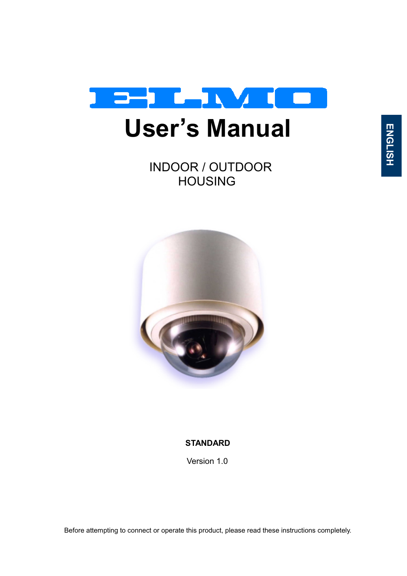

INDOOR / OUTDOOR HOUSING



#### **STANDARD**

Version 1.0

Before attempting to connect or operate this product, please read these instructions completely.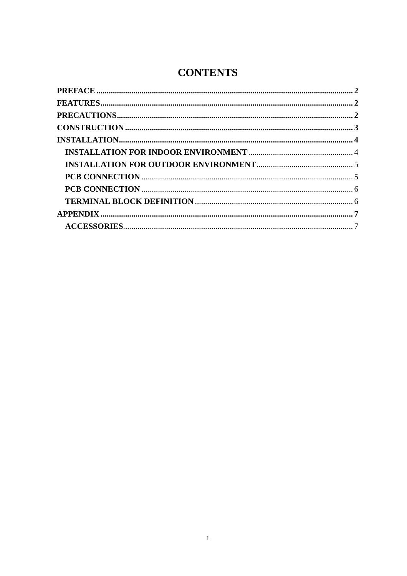## **CONTENTS**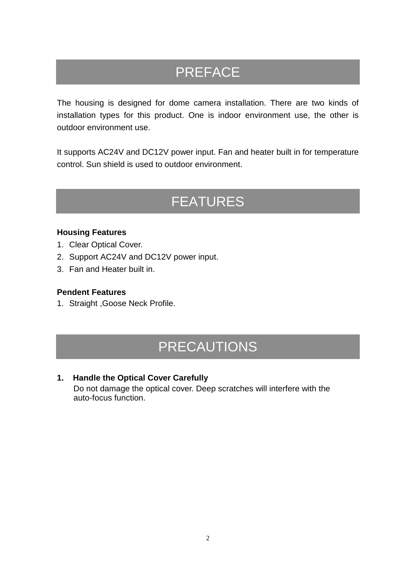## PREFACE

The housing is designed for dome camera installation. There are two kinds of installation types for this product. One is indoor environment use, the other is outdoor environment use.

It supports AC24V and DC12V power input. Fan and heater built in for temperature control. Sun shield is used to outdoor environment.

## FEATURES

#### **Housing Features**

- 1. Clear Optical Cover.
- 2. Support AC24V and DC12V power input.
- 3. Fan and Heater built in.

#### **Pendent Features**

1. Straight ,Goose Neck Profile.

## PRECAUTIONS

**1. Handle the Optical Cover Carefully** 

Do not damage the optical cover. Deep scratches will interfere with the auto-focus function.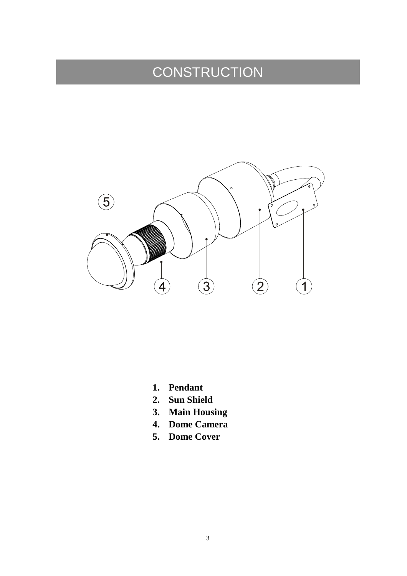# **CONSTRUCTION**



- **1. Pendant**
- **2. Sun Shield**
- **3. Main Housing**
- **4. Dome Camera**
- **5. Dome Cover**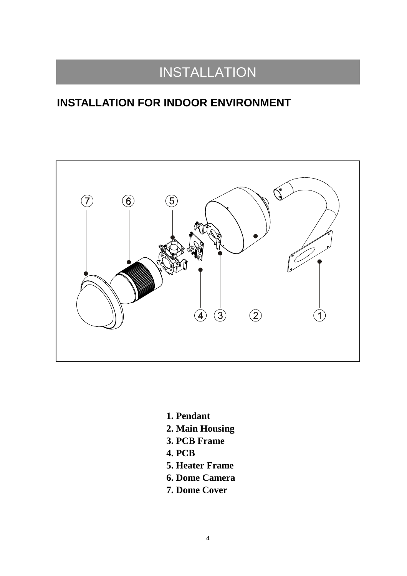## INSTALLATION

## **INSTALLATION FOR INDOOR ENVIRONMENT**



- **1. Pendant**
- **2. Main Housing**
- **3. PCB Frame**
- **4. PCB**
- **5. Heater Frame**
- **6. Dome Camera**
- **7. Dome Cover**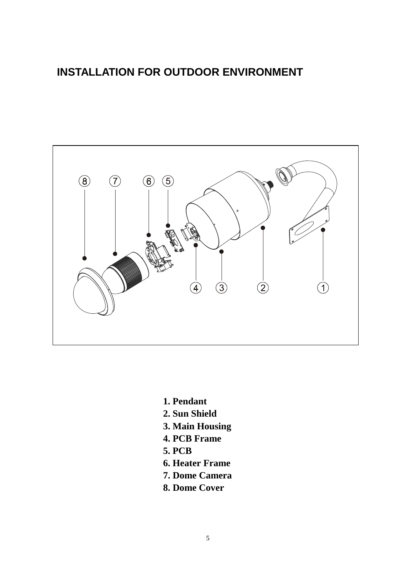### **INSTALLATION FOR OUTDOOR ENVIRONMENT**



- **1. Pendant**
- **2. Sun Shield**
- **3. Main Housing**
- **4. PCB Frame**
- **5. PCB**
- **6. Heater Frame**
- **7. Dome Camera**
- **8. Dome Cover**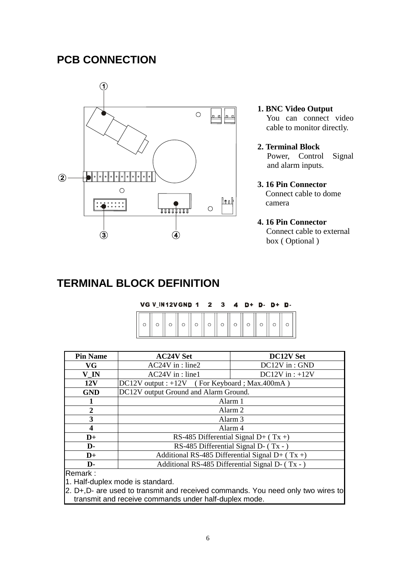### **PCB CONNECTION**



- **1. BNC Video Output**  You can connect video cable to monitor directly.
- **2. Terminal Block**  Power, Control Signal and alarm inputs.
- **3. 16 Pin Connector**  Connect cable to dome camera

#### **4. 16 Pin Connector**

Connect cable to external box ( Optional )

### **TERMINAL BLOCK DEFINITION**

| VG V IN12V GND 1 2 3 4 |  |  |  |  | D+ D- D+ D- |  |
|------------------------|--|--|--|--|-------------|--|
|                        |  |  |  |  |             |  |

| <b>AC24V Set</b>                                  | <b>DC12V Set</b>                       |  |  |
|---------------------------------------------------|----------------------------------------|--|--|
| $AC24V$ in : line2                                | DC12V in: GND                          |  |  |
| $AC24V$ in : line1                                | DC12V in : $+12V$                      |  |  |
| $DC12V$ output : +12V (For Keyboard ; Max.400mA)  |                                        |  |  |
| DC12V output Ground and Alarm Ground.             |                                        |  |  |
|                                                   | Alarm 1                                |  |  |
| Alarm 2                                           |                                        |  |  |
| Alarm <sub>3</sub>                                |                                        |  |  |
|                                                   | Alarm 4                                |  |  |
|                                                   | RS-485 Differential Signal D+ $(Tx +)$ |  |  |
| RS-485 Differential Signal D- (Tx -)              |                                        |  |  |
| Additional RS-485 Differential Signal D+ $(Tx +)$ |                                        |  |  |
| Additional RS-485 Differential Signal D- (Tx -)   |                                        |  |  |
|                                                   |                                        |  |  |

Remark :

1. Half-duplex mode is standard.

2. D+, D- are used to transmit and received commands. You need only two wires to transmit and receive commands under half-duplex mode.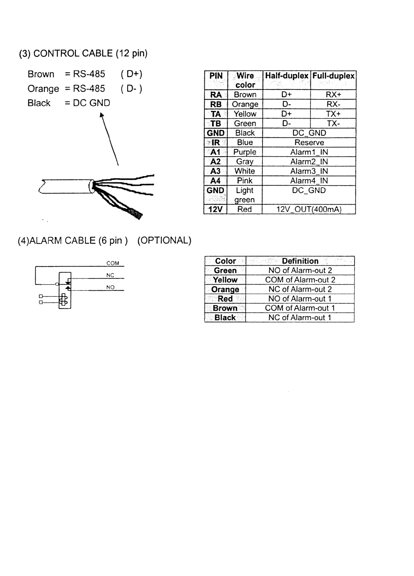#### (3) CONTROL CABLE (12 pin)



| <b>PIN</b>     | Wire<br>color | <b>Half-duplex Full-duplex</b> |       |  |  |
|----------------|---------------|--------------------------------|-------|--|--|
| <b>RA</b>      | Brown         | D+                             | $RX+$ |  |  |
| <b>RB</b>      | Orange        | D-                             | RX-   |  |  |
| TA             | Yellow        | D+                             | $TX+$ |  |  |
| $T$ B          | Green         | D-                             | TX-   |  |  |
| <b>GND</b>     | <b>Black</b>  | DC_GND                         |       |  |  |
| $\blacksquare$ | Blue          | Reserve                        |       |  |  |
| A <sub>1</sub> | Purple        | Alarm1 IN                      |       |  |  |
| A2             | Gray          | Alarm <sub>2</sub> IN          |       |  |  |
| A3             | White         | Alarm3 IN                      |       |  |  |
| A4             | Pink          | Alarm4 IN                      |       |  |  |
| <b>GND</b>     | Light         | DC GND                         |       |  |  |
|                | green         |                                |       |  |  |
| 12V            | Red           | 12V_OUT(400mA)                 |       |  |  |

(4) ALARM CABLE (6 pin) (OPTIONAL)



| <b>Color</b>  | <b>Definition</b><br>as ring |
|---------------|------------------------------|
| Green         | NO of Alarm-out 2            |
| Yellow        | COM of Alarm-out 2           |
| <b>Orange</b> | NC of Alarm-out 2            |
| Red           | NO of Alarm-out 1            |
| <b>Brown</b>  | COM of Alarm-out 1           |
| <b>Black</b>  | NC of Alarm-out 1            |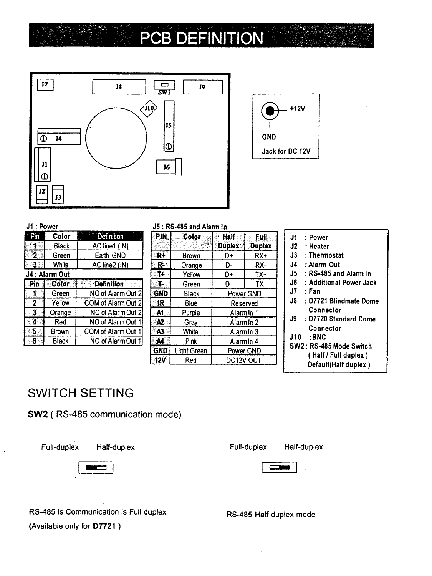## PCB DEFINITION





#### J1: Power

| 210 | Color          | <b>Definition</b>  |
|-----|----------------|--------------------|
|     | Black          | AC line1 (IN)      |
|     | Green          | Earth GND          |
|     | White          | AC line2 (IN)      |
|     | J4 : Alarm Out |                    |
| Pin | Color          | <b>Definition</b>  |
|     | Green          | NO of Alarm Out 2  |
| -2  | Yellow         | COM of Alarm Out 2 |
| 3   | Orange         | NC of Alarm Out 2  |
| 4   | Red            | NO of Alarm Out 1  |
| 5   | Brown          | COM of Alarm Out 1 |
| 6   | <b>Black</b>   | NC of Alarm Out 1  |

#### J5: RS-485 and Alarm In **SDIN Color La Half Full**

|                | uviut              | <b>Duplex</b> | ечн<br><b>Duplex</b> |  |  |
|----------------|--------------------|---------------|----------------------|--|--|
| $R+$           | Brown              | D+            | RX+                  |  |  |
| R-             | Orange             | D-            | RX-                  |  |  |
| Tŧ.            | Yellow             | D+            | $TX+$                |  |  |
| ा              | Green              | D-            | TX-                  |  |  |
| <b>GND</b>     | Black              | Power GND     |                      |  |  |
| $\mathbf{R}$   | Blue               | Reserved      |                      |  |  |
| A1             | Purple             | Alarm In 1    |                      |  |  |
| A <sub>2</sub> | Gray               | Alarm In 2    |                      |  |  |
| A3             | White              | Alarmin 3     |                      |  |  |
| A4             | Pink               | Alarm In 4    |                      |  |  |
| <b>GND</b>     | <b>Light Green</b> | Power GND     |                      |  |  |
| 12V            | Red                | DC12V OUT     |                      |  |  |

#### J1 : Power

- J2 : Heater
- J3 : Thermostat
- J4 : Alarm Out
- J5 : RS-485 and Alarm In
- J6 : Additional Power Jack
- $J7$  : Fan
- J8 : D7721 Blindmate Dome Connector
- J9 : D7720 Standard Dome Connector
- **J10 :BNC**
- SW2: RS-485 Mode Switch (Half / Full duplex) Default(Half duplex)

### **SWITCH SETTING**

SW2 (RS-485 communication mode)

Full-duplex

Half-duplex



Half-duplex

 $\sim$ 

RS-485 is Communication is Full duplex (Available only for D7721)

RS-485 Half duplex mode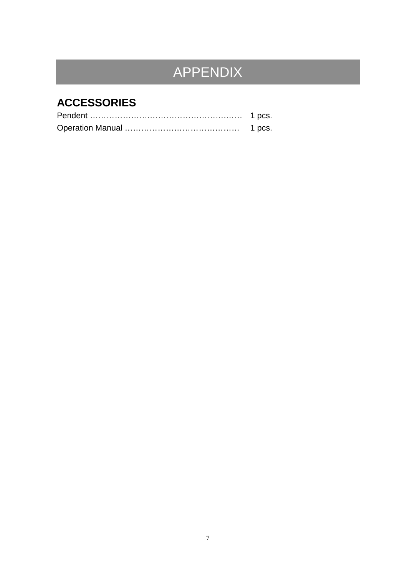# APPENDIX

## **ACCESSORIES**